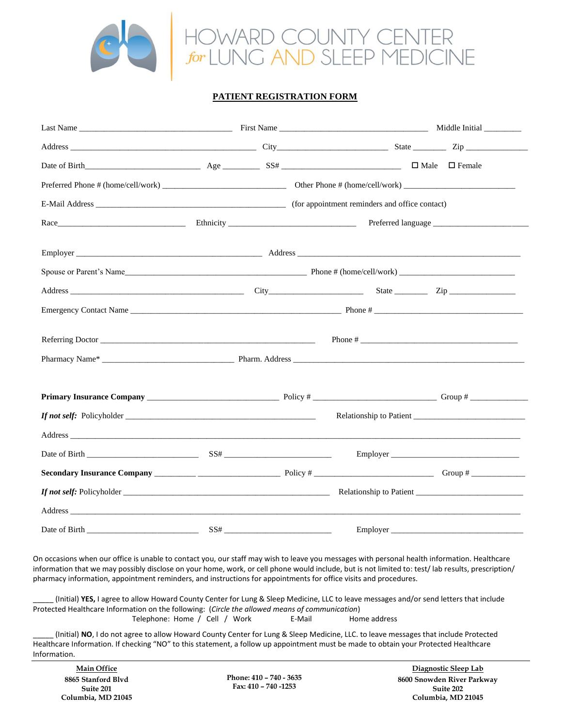

## **PATIENT REGISTRATION FORM**

|                                                                                                                                                                                                                                |     |  | Relationship to Patient |  |
|--------------------------------------------------------------------------------------------------------------------------------------------------------------------------------------------------------------------------------|-----|--|-------------------------|--|
|                                                                                                                                                                                                                                |     |  |                         |  |
|                                                                                                                                                                                                                                |     |  |                         |  |
|                                                                                                                                                                                                                                |     |  |                         |  |
|                                                                                                                                                                                                                                |     |  |                         |  |
| Address and the contract of the contract of the contract of the contract of the contract of the contract of the contract of the contract of the contract of the contract of the contract of the contract of the contract of th |     |  |                         |  |
| Date of Birth<br><u> 1980 - Johann John Harry Harry Harry Harry Harry Harry Harry Harry Harry Harry Harry Harry Harry Harry Harry H</u>                                                                                        | SS# |  | Employer                |  |

On occasions when our office is unable to contact you, our staff may wish to leave you messages with personal health information. Healthcare information that we may possibly disclose on your home, work, or cell phone would include, but is not limited to: test/ lab results, prescription/ pharmacy information, appointment reminders, and instructions for appointments for office visits and procedures.

\_\_\_\_\_ (Initial) **YES,** I agree to allow Howard County Center for Lung & Sleep Medicine, LLC to leave messages and/or send letters that include Protected Healthcare Information on the following: (*Circle the allowed means of communication*) Telephone: Home / Cell / Work E-Mail Home address

\_\_\_\_\_ (Initial) **NO**, I do not agree to allow Howard County Center for Lung & Sleep Medicine, LLC. to leave messages that include Protected Healthcare Information. If checking "NO" to this statement, a follow up appointment must be made to obtain your Protected Healthcare Information.

**Main Office 8865 Stanford Blvd Suite 201 Columbia, MD 21045**

**Phone: 410 – 740 - 3635 Fax: 410 – 740 -1253**

**Diagnostic Sleep Lab 8600 Snowden River Parkway Suite 202 Columbia, MD 21045**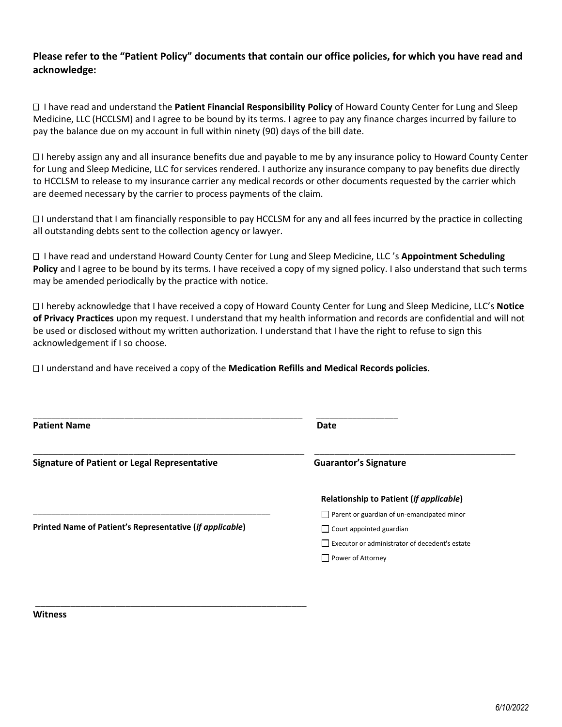## **Please refer to the "Patient Policy" documents that contain our office policies, for which you have read and acknowledge:**

 I have read and understand the **Patient Financial Responsibility Policy** of Howard County Center for Lung and Sleep Medicine, LLC (HCCLSM) and I agree to be bound by its terms. I agree to pay any finance charges incurred by failure to pay the balance due on my account in full within ninety (90) days of the bill date.

 $\Box$  I hereby assign any and all insurance benefits due and payable to me by any insurance policy to Howard County Center for Lung and Sleep Medicine, LLC for services rendered. I authorize any insurance company to pay benefits due directly to HCCLSM to release to my insurance carrier any medical records or other documents requested by the carrier which are deemed necessary by the carrier to process payments of the claim.

 $\Box$  I understand that I am financially responsible to pay HCCLSM for any and all fees incurred by the practice in collecting all outstanding debts sent to the collection agency or lawyer.

 I have read and understand Howard County Center for Lung and Sleep Medicine, LLC 's **Appointment Scheduling Policy** and I agree to be bound by its terms. I have received a copy of my signed policy. I also understand that such terms may be amended periodically by the practice with notice.

 I hereby acknowledge that I have received a copy of Howard County Center for Lung and Sleep Medicine, LLC's **Notice of Privacy Practices** upon my request. I understand that my health information and records are confidential and will not be used or disclosed without my written authorization. I understand that I have the right to refuse to sign this acknowledgement if I so choose.

I understand and have received a copy of the **Medication Refills and Medical Records policies.**

\_\_\_\_\_\_\_\_\_\_\_\_\_\_\_\_\_\_\_\_\_\_\_\_\_\_\_\_\_\_\_\_\_\_\_\_\_\_\_\_\_\_\_\_\_\_\_\_\_\_\_\_\_\_

| <b>Patient Name</b>                                      | Date                                              |
|----------------------------------------------------------|---------------------------------------------------|
| <b>Signature of Patient or Legal Representative</b>      | <b>Guarantor's Signature</b>                      |
|                                                          | Relationship to Patient (if applicable)           |
|                                                          | $\Box$ Parent or guardian of un-emancipated minor |
| Printed Name of Patient's Representative (if applicable) | $\Box$ Court appointed guardian                   |
|                                                          | Executor or administrator of decedent's estate    |
|                                                          | Power of Attorney                                 |

**Witness**